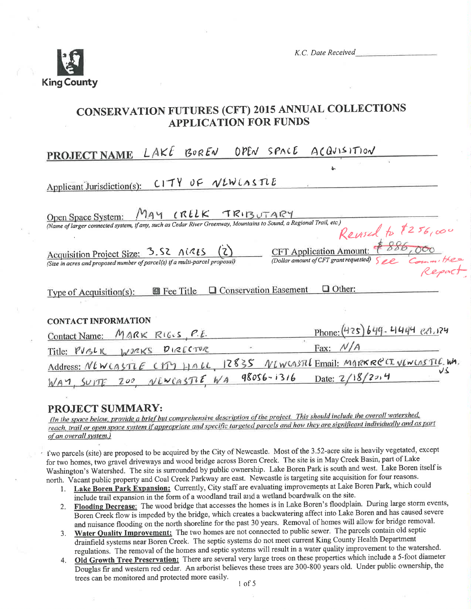

K.C. Date Received

**CFT** Application Amount:

(Dollar amount of CFT grant requested)

# **CONSERVATION FUTURES (CFT) 2015 ANNUAL COLLECTIONS APPLICATION FOR FUNDS**

 $L$ AKE BOREN OPEN SPACE ACQUISITION **NAME PROJEC** 

Applicant Jurisdiction(s):  $C17Y0F$  WEWLASTLE

Open Space System:  $M_A \vee \ldots \vee R L K$  TRIBUTARY<br>(Name of larger connected system, if any, such as Cedar River Greenway, Mountains to Sound, a Regional Trail, etc.) Revised to \$256,000

Acquisition Project Size: 3.52 A(215  $(2)$ (Size in acres and proposed number of parcel(s) if a multi-parcel proposal)

 $\blacksquare$  Fee Title  $\blacksquare$  Conservation Easement  $\Box$  Other: Type of Acquisition(s):

#### **CONTACT INFORMATION**

| Contact Name: MARK RIGUS, P.E. |  | Phone: (425) 649 - 4444 ext. 124                                          |  |
|--------------------------------|--|---------------------------------------------------------------------------|--|
| Title: PUBLIC WORKS DIRECTOR   |  | Fax: $N/A$                                                                |  |
|                                |  | Address: NEWCASTLE CITY HALL 12835 NEWCASTLEmail: MARKRECT. VEWLOSTLE. WA |  |
|                                |  | $WAY$ , SUITE ZOO VEWCASTLE WA 98056-1316 Date: 2/18/2014                 |  |

## **PROJECT SUMMARY:**

(In the space below, provide a brief but comprehensive description of the project. This should include the overall watershed, reach, trail or open space system if appropriate and specific targeted parcels and how they are significant individually and as part of an overall system.)

I'wo parcels (site) are proposed to be acquired by the City of Newcastle. Most of the 3.52-acre site is heavily vegetated, except for two homes, two gravel driveways and wood bridge across Boren Creek. The site is in May Creek Basin, part of Lake Washington's Watershed. The site is surrounded by public ownership. Lake Boren Park is south and west. Lake Boren itself is north. Vacant public property and Coal Creek Parkway are east. Newcastle is targeting site acquisition for four reasons.

- 1. Lake Boren Park Expansion: Currently, City staff are evaluating improvements at Lake Boren Park, which could include trail expansion in the form of a woodland trail and a wetland boardwalk on the site.
- 2. Flooding Decrease: The wood bridge that accesses the homes is in Lake Boren's floodplain. During large storm events, Boren Creek flow is impeded by the bridge, which creates a backwatering affect into Lake Boren and has caused severe and nuisance flooding on the north shoreline for the past 30 years. Removal of homes will allow for bridge removal.
- Water Quality Improvement: The two homes are not connected to public sewer. The parcels contain old septic  $3.$ drainfield systems near Boren Creek. The septic systems do not meet current King County Health Department regulations. The removal of the homes and septic systems will result in a water quality improvement to the watershed.
- Old Growth Tree Preservation: There are several very large trees on these properties which include a 5-foot diameter 4. Douglas fir and western red cedar. An arborist believes these trees are 300-800 years old. Under public ownership, the trees can be monitored and protected more easily.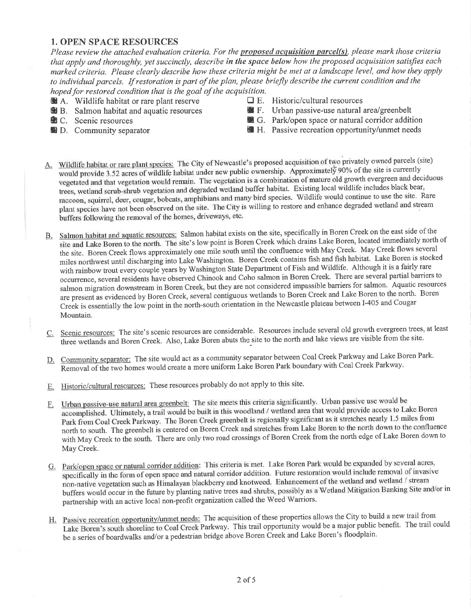## 1. OPEN SPACE RESOURCES

Please review the attached evaluation criteria. For the proposed acquisition parcel(s), please mark those criteria that apply and thoroughly, yet succinctly, describe in the space below how the proposed acquisition satisfies each marked criteria. Please clearly describe how these criteria might be met at a landscape level, and how they apply to individual parcels. If restoration is part of the plan, please briefly describe the current condition and the hoped for restored condition that is the goal of the acquisition.

- **a** A. Wildlife habitat or rare plant reserve  $\Box$  E. Historic/cultural resources **E.** B. Salmon habitat and aquatic resources **E.** F. Urban passive-use natural
- 
- 
- 
- 
- 
- **th B.** Salmon habitat and aquatic resources **E.** F. Urban passive-use natural area/greenbelt **C.** Scenic resources **E.** G. Park/open space or natural corridor addit **<sup>1</sup>** G. Park/open space or natural corridor addition
- **D.** Community separator **Deparation Deparation Deparation E** H. Passive recreation opportunity/unmet needs
- A. Wildlife habitat or rare plant species: The City of Newcastle's proposed acquisition of two privately owned parcels (site) would provide 3.52 acres of wildlife habitat under new public ownership. Approximately 90% of the site is currently vegetated and that vegetation would remain. The vegetation is a combination of mature old growth evergreen and deciduous trees, wetland scrub-shrub vegetation and degraded wetland buffer habitat. Existing local wildlife includes black bear, raccoon, squirrel, deer, cougar, bobcats, amphibians and many bird species. Wildlife would continue to use the site. Rare plant species have not been observed on the site. The City is willing to restore and enhance degraded wetland and stream buffers following the removal of the homes, driveways, etc.
- B. Salmon habitat and aquatic resources: Salmon habitat exists on the site, specifically in Boren Creek on the east side of the site and Lake Boren to the north. The site's low point is Boren Creek which drains Lake Boren, located immediately north of the site. Boren Creek flows approximately one mile south until the confluence with May Creek. May Creek flows several miles northwest until discharging into Lake Washington. Boren Creek contains fish and fish habitat. Lake Boren is stocked with rainbow trout every couple years by Washington State Department of Fish and Wildlife. Although it is a fairly rare occurrence, several residents have observed Chinook and Coho salmon in Boren Creek. There are several partial barriers to salmon migration downstream in Boren Creek, but they are not considered impassible barriers for salmon. Aquatic resourçes are present as evidenced by Boren Creek, several contiguous wetlands to Boren Creek and Lake Boren to the north. Boren Creek is essentially the low point in the north-south orientation in the Newcastle plateau between I-405 and Cougar Mountain.
- C. Scenic resources: The site's scenic resources are considerable. Resources include several old growth evergreen trees, at least three wetlands and Boren Creek. Also, Lake Boren abuts the site to the north and lake views are visible from the site.
- D. Community separator: The site would act as a community separator between Coal Creek Parkway and Lake Boren Park. Removal of the two homes would create a more uniform Lake Boren Park boundary with Coal Creek Parkway.
- E. Historic/cultural resources: These resources probably do not apply to this site.
- Urban passive-use natural area greenbelt: The site meets this criteria significantly. Urban passive use would be F. orban passive-use natural area greenotic. The she meets this enterta eigenvelope that would provide access to Lake Boren accomplished. Ultimately, a trail would be built in this woodland / wetland area that would provide a Park from Coal Creek Parkway. The Boren Creek greenbelt is regionally significant as it stretches nearly 1.5 miles from<br>north to south. The greenbelt is centered on Boren Creek and stretches from Lake Boren to the north do with May Creek to the south. There are only two road crossings of Boren Creek from the north edge of Lake Boren down to May Creek,
- G. Park/open space or natural corridor addition: This criteria is met. Lake Boren Park would be expanded by several acres, specifically in the form of open space and natural corridor addition. Future restoration would include removal of invasive non-native vegetation such as Himalayan blackberry and knotweed. Enhancement of the wetland and wetland / stream<br>buffers would occur in the future by planting native trees and shrubs, possibly as a Wetland Mitigation Banki partnership with an active local non-profit organization called the Weed Warriors.
- H. Passive recreation opportunity/unmet needs: The acquisition of these properties allows the City to build a new trail from Lake Boren's south shoreline to Coal Creek Parkway. This trail opportunity would be a major public benefit. The trail could be a series of boardwalks and/or a pedestrian bridge above Boren Creek and Lake Boren's floodplain.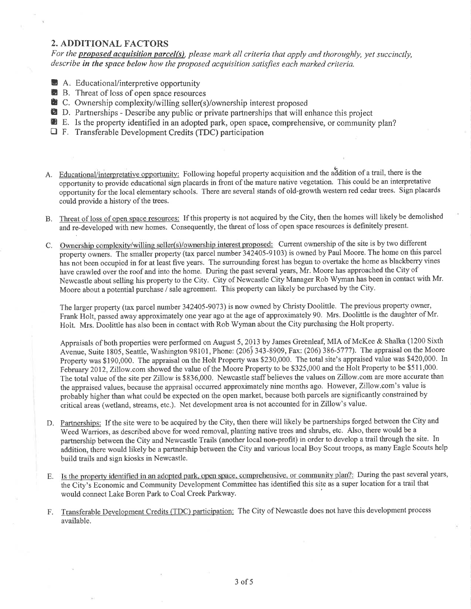#### 2. ADDITIONAL FACTORS

For the **proposed acquisition parcel(s)**, please mark all criteria that apply and thoroughly, yet succinctly, describe in the space below how the proposed acquisition satisfies each marked criteria.

- D A. Educational/interpretive opportunity
- **B.** B. Threat of loss of open space resources
- **B** C. Ownership complexity/willing seller(s)/ownership interest proposed
- **2** D. Partnerships Describe any public or private partnerships that will enhance this project
- **E.** Is the property identified in an adopted park, open space, comprehensive, or community plan?
- $\Box$  F. Transferable Development Credits (TDC) participation
- A. Educational/interpretative opportunity: Following hopeful property acquisition and the addition of a trail, there is the opportgnity to provide educational sign placards in front of the mature native vegetation. This could be an interpretative opportunity for the local elementary schools. There are several stands of old-growth western red cedar trees. Sign placards could provide a history of the trees.
- B. Threat of loss of open space resources: If this property is not acquired by the City, then the homes will likely be demolished and re-developed with new homes. Consequently, the threat of loss of open space resources is definitely present.
- C. Ownership complexity/willing seller(s)/ownership interest proposed: Current ownership of the site is by two different property owners. The smaller property (tax parcel number 342405-9103) is owned by Paul Moore. The home on this parcel has not been occupied in for at least five years. The surrounding forest has begun to overtake the home as blackberry vines have crawled over the roof and into the home. During the past several years, Mr. Moore has approached the City of Newcastle about selling his property to the City. City of Newcastle City Manager Rob Wyman has been in contact with Mr. Moore about a potential purchase / sale agreement, This property can likely be purchased by the City.

The larger property (tax parcel number 342405-9073) is now owned by Christy Doolittle. The previous property owner, Frank Holt, passed away approximately one year ago at the age of approximately 90. Mrs. Doolittle is the daughter of Mr. Holt. Mrs. Doolittle has also been in contact with Rob Wyman about the City purchasing the Holt property.

Appraisals of both properties were performed on August 5,2073 by James Greenleaf, MIA of McKee & Shalka (1200 Sixth Avenue, Suite 1805, Seattle, Washington 98101, Phone: (206) 343-8909, Fax: (206) 386-5777). The appraisal on the Moore Property was \$190,000. The appraisal on the Holt Property was \$230,000. The total site's appraised value was \$420,000. In February 2012, Zillow.com showed the value of the Moore Property to be \$325,000 and the Holt Property to be \$511,000. The total value of the site per Zillow is \$836,000. Newcastle staff believes the values on Zillow.com are more accurate than the appraised values, because the appraisal occurred approximately nine months ago. However, Zillow.com's value is probably higher than what could be expected on the open market, because both parcels are significantly constrained by critical areas (wetland, streams, etc.). Net development area is not accounted for in Zillow's value.

- D. Partnerships: If the site were to be acquired by the City, then there will likely be partnerships forged between the City and Weed Warriors, as described above for weed removal, planting native trees and shrubs, etc. Also, there would be a partnership between the City and Newcastle Trails (another local non-profit) in order to develop a trail through the site. In ãddition, there would likelybe a partnership between the City and various local Boy Scout troops, as many Eagle Scouts help build trails and sign kiosks in Newcastle.
- E. Is the property identified in an adopted park, open space, comprehensive, or community plan?: During the past several years, the City's Economjc and Community Development Committee has identified this site as a super location for a trail that would connect Lake Boren Park to Coal Creek Parkway.
- F. Transferable Development Credits (TDC) participation: The City of Newcastle does not have this development process available,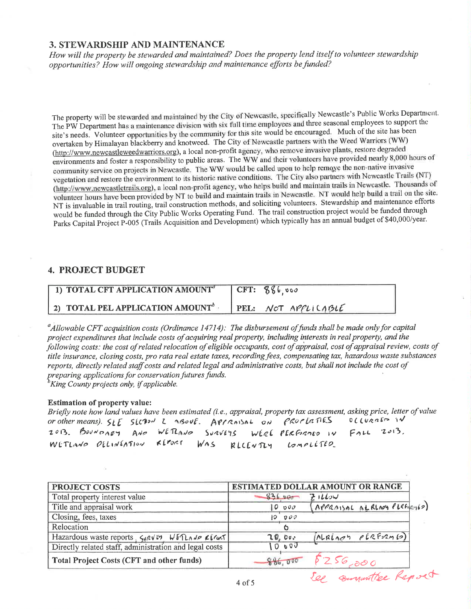## 3. STEWARDSHIP AND MAINTENANCE

How will the property be stewarded and maintained? Does the property lend itself to volunteer stewardship opportunities? How will ongoing stewardship and maintenance efforts be funded?

The property will be stewarded and maintained by the City of Newcastle, specifically Newcastle's Public Works Department. The PW Department has a maintenance division with six full time employees and three seasonal employees to support the site's needs. Volunteer opportunities by the community for this site would be encouraged. Much of the site has been overtaken by Himalayan blackberry and knotweed. The City of Newcastle partners with the Weed Warriors (WW) (http://www.newcastleweedwarriors.org), a local non-profit agency, who remove invasive plants, restore degraded environments and foster a responsibility to public areas. The WW and their volunteers have provided nearly 8,000 hours of community service on projects in Newcastle. The WW would be called upon to help remove the non-native invasive vegetation and restore the environment to its historic native conditions. The City also partners with Newcastle Trails (NT) (http://www.newcastletrails.org), a local non-profit agency, who helps build and maintain trails in Newcastle. Thousands of volunteer hours have been provided by NT to build and maintain trails in Newcastle. NT would help build a trail on the site. NT is invaluable in trail routing, trail construction methods, and soliciting volunteers. Stewardship and maintenance efforts would be funded through the City Public Works Operating Fund. The trail construction project would be funded through Parks Capital Project P-005 (Trails Acquisition and Development) which typically has an annual budget of \$40,000/year.

## **4. PROJECT BUDGET**

| 1) TOTAL CFT APPLICATION AMOUNT <sup>®</sup> | CFT: 886,000        |
|----------------------------------------------|---------------------|
| 2) TOTAL PEL APPLICATION AMOUNT <sup>b</sup> | PEL: NOT APPLICABLE |

 $^a$ Allowable CFT acquisition costs (Ordinance 14714): The disbursement of funds shall be made only for capital project expenditures that include costs of acquiring real property, including interests in real property, and the following costs: the cost of related relocation of eligible occupants, cost of appraisal, cost of appraisal review, costs of title insurance, closing costs, pro rata real estate taxes, recording fees, compensating tax, hazardous waste substances reports, directly related staff costs and related legal and administrative costs, but shall not include the cost of preparing applications for conservation futures funds. <sup>b</sup>King County projects only, if applicable.

**Estimation of property value:** 

Briefly note how land values have been estimated (i.e., appraisal, property tax assessment, asking price, letter of value or other means). SEE SLCPON 2 ABOVE. APPRAISAL ON PROPLATIES OCCURATO IN  $FALL$  2013. 2013. BOUNDARY AND WETLAND SURVEYS WERE PERFORMED IN WETLAND OELINEATION REPORT  $W<sub>0</sub>$ RLLENTLY  $Lompliflo$ 

| <b>PROJECT COSTS</b>                                   | ESTIMATED DOLLAR AMOUNT OR RANGE |                              |  |
|--------------------------------------------------------|----------------------------------|------------------------------|--|
| Total property interest value                          | 83600                            | 71160                        |  |
| Title and appraisal work                               | $0$ $00$                         | (APPRAISAL ALRLADY PLEFATIO) |  |
| Closing, fees, taxes                                   | 10000                            |                              |  |
| Relocation                                             |                                  |                              |  |
| Hazardous waste reports, Surviv, WEDAND CLOST          | 20,000                           | (ALREAGH eleForm (0)         |  |
| Directly related staff, administration and legal costs | 0.00                             |                              |  |
| Total Project Costs (CFT and other funds)              | 886,000                          | 256,000                      |  |
|                                                        | $\Lambda$ of $\zeta$             | committee Report             |  |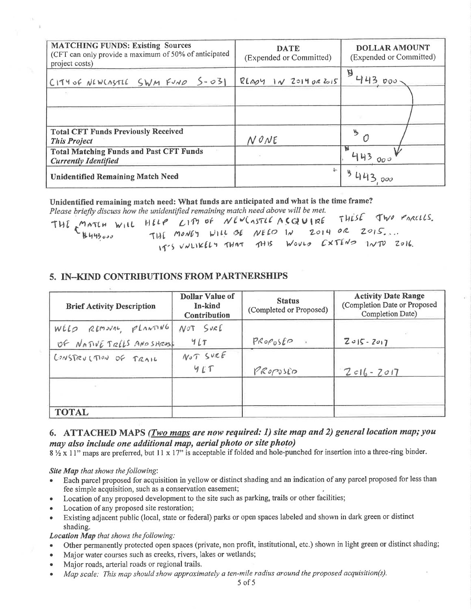| <b>MATCHING FUNDS: Existing Sources</b><br>(CFT can only provide a maximum of 50% of anticipated<br>project costs) | <b>DATE</b><br>(Expended or Committed) | <b>DOLLAR AMOUNT</b><br>(Expended or Committed) |
|--------------------------------------------------------------------------------------------------------------------|----------------------------------------|-------------------------------------------------|
| CITY OF NEWCASTLE SWM FUND 5-031                                                                                   | $R[1091]$ $N$ $R=1902$ $615$           | 18413000                                        |
|                                                                                                                    |                                        |                                                 |
| <b>Total CFT Funds Previously Received</b><br><b>This Project</b>                                                  | NONE                                   | ₩                                               |
| <b>Total Matching Funds and Past CFT Funds</b><br><b>Currently Identified</b>                                      |                                        | 000                                             |
| <b>Unidentified Remaining Match Need</b>                                                                           | å.                                     |                                                 |

Unidentified remaining match need: What funds are anticipated and what is the time frame? Please briefly discuss how the unidentified remaining match need above will be met.

|       | THE MATCH WILL HELP LIPS of NEWLASTLE ACQUIRE THESE TWO PARCELS. |  |
|-------|------------------------------------------------------------------|--|
| 44300 | THE MONEY WILL BE NEED IN 2014 OR 2015.                          |  |
|       | IT'S VNLIKELY THAT THIS WOULD EXTEND INTO 2016.                  |  |

## 5. IN-KIND CONTRIBUTIONS FROM PARTNERSHIPS

| <b>Brief Activity Description</b> | <b>Dollar Value of</b><br>In-kind<br>Contribution | <b>Status</b><br>(Completed or Proposed) | <b>Activity Date Range</b><br>(Completion Date or Proposed<br>Completion Date) |
|-----------------------------------|---------------------------------------------------|------------------------------------------|--------------------------------------------------------------------------------|
| WELD REMOVAL PLANTING             | NOT SURE                                          |                                          |                                                                                |
| OF NATIVE TREES AND SHRUSH        | 411                                               | $PROP\noSEP$                             | $2015 - 2017$                                                                  |
| CONSTRUCTION OF TRAIL             | NOT SURE                                          |                                          |                                                                                |
|                                   | 9E                                                | PROPOSED                                 | $2016 - 2017$                                                                  |
|                                   |                                                   |                                          |                                                                                |
|                                   |                                                   |                                          |                                                                                |
| <b>TOTAL</b>                      |                                                   |                                          |                                                                                |

## 6. ATTACHED MAPS (Two maps are now required: 1) site map and 2) general location map; you may also include one additional map, aerial photo or site photo)

8 11" maps are preferred, but 11 x 17" is acceptable if folded and hole-punched for insertion into a three-ring binder.

#### Site Map that shows the following:

- Each parcel proposed for acquisition in yellow or distinct shading and an indication of any parcel proposed for less than  $\bullet$ fee simple acquisition, such as a conservation easement;
- Location of any proposed development to the site such as parking, trails or other facilities;
- Location of any proposed site restoration;  $\bullet$
- Existing adjacent public (local, state or federal) parks or open spaces labeled and shown in dark green or distinct  $\bullet$ shading.

#### Location Map that shows the following:

- Other permanently protected open spaces (private, non profit, institutional, etc.) shown in light green or distinct shading;  $\bullet$
- Major water courses such as creeks, rivers, lakes or wetlands;  $\bullet$
- Major roads, arterial roads or regional trails.  $\bullet$
- Map scale: This map should show approximately a ten-mile radius around the proposed acquisition(s).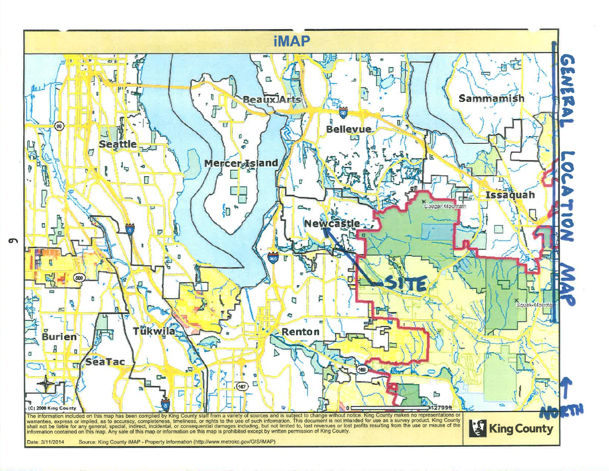

 $\sigma$